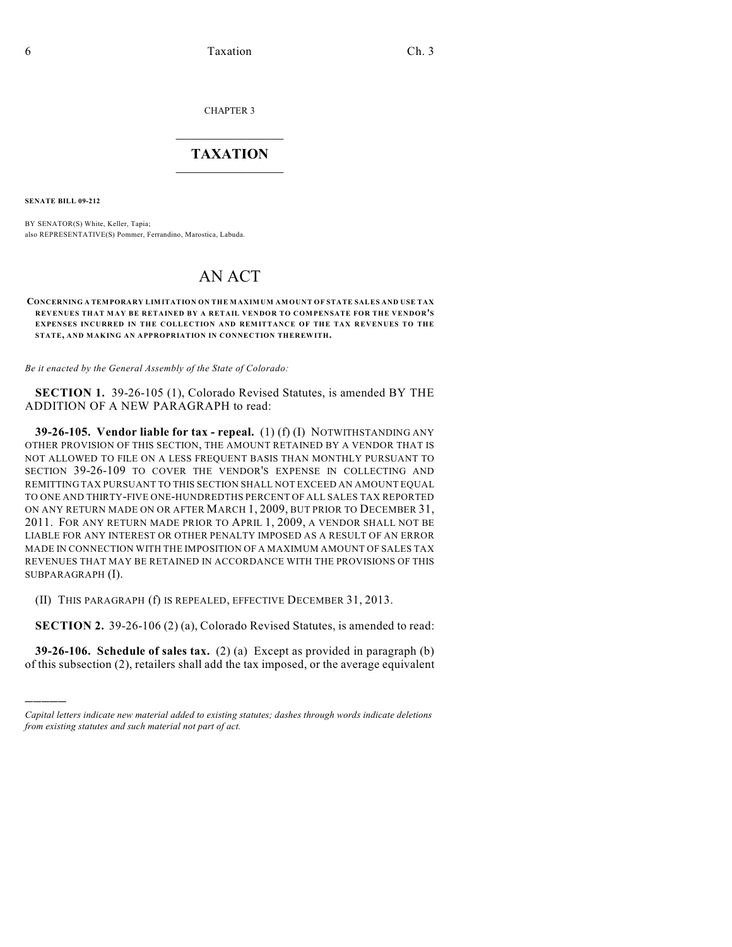CHAPTER 3

## $\overline{\phantom{a}}$  . The set of the set of the set of the set of the set of the set of the set of the set of the set of the set of the set of the set of the set of the set of the set of the set of the set of the set of the set o **TAXATION**  $\_$

**SENATE BILL 09-212**

)))))

BY SENATOR(S) White, Keller, Tapia; also REPRESENTATIVE(S) Pommer, Ferrandino, Marostica, Labuda.

## AN ACT

## **CONCERNING A TEMPORARY LIMITATION ON THE MAXIMUM AMOUNT OF STATE SALES AND USE TAX REVENUES THAT MAY BE RETAINED BY A RETAIL VENDOR TO COMPENSATE FOR THE VENDOR'S EXPENSES INCURRED IN THE COLLECTION AND REMITTANCE OF THE TAX REVENUES TO THE STATE, AND MAKING AN APPROPRIATION IN CONNECTION THEREWITH.**

*Be it enacted by the General Assembly of the State of Colorado:*

**SECTION 1.** 39-26-105 (1), Colorado Revised Statutes, is amended BY THE ADDITION OF A NEW PARAGRAPH to read:

**39-26-105. Vendor liable for tax - repeal.** (1) (f) (I) NOTWITHSTANDING ANY OTHER PROVISION OF THIS SECTION, THE AMOUNT RETAINED BY A VENDOR THAT IS NOT ALLOWED TO FILE ON A LESS FREQUENT BASIS THAN MONTHLY PURSUANT TO SECTION 39-26-109 TO COVER THE VENDOR'S EXPENSE IN COLLECTING AND REMITTING TAX PURSUANT TO THIS SECTION SHALL NOT EXCEED AN AMOUNT EQUAL TO ONE AND THIRTY-FIVE ONE-HUNDREDTHS PERCENT OF ALL SALES TAX REPORTED ON ANY RETURN MADE ON OR AFTER MARCH 1, 2009, BUT PRIOR TO DECEMBER 31, 2011. FOR ANY RETURN MADE PRIOR TO APRIL 1, 2009, A VENDOR SHALL NOT BE LIABLE FOR ANY INTEREST OR OTHER PENALTY IMPOSED AS A RESULT OF AN ERROR MADE IN CONNECTION WITH THE IMPOSITION OF A MAXIMUM AMOUNT OF SALES TAX REVENUES THAT MAY BE RETAINED IN ACCORDANCE WITH THE PROVISIONS OF THIS SUBPARAGRAPH (I).

(II) THIS PARAGRAPH (f) IS REPEALED, EFFECTIVE DECEMBER 31, 2013.

**SECTION 2.** 39-26-106 (2) (a), Colorado Revised Statutes, is amended to read:

**39-26-106. Schedule of sales tax.** (2) (a) Except as provided in paragraph (b) of this subsection (2), retailers shall add the tax imposed, or the average equivalent

*Capital letters indicate new material added to existing statutes; dashes through words indicate deletions from existing statutes and such material not part of act.*